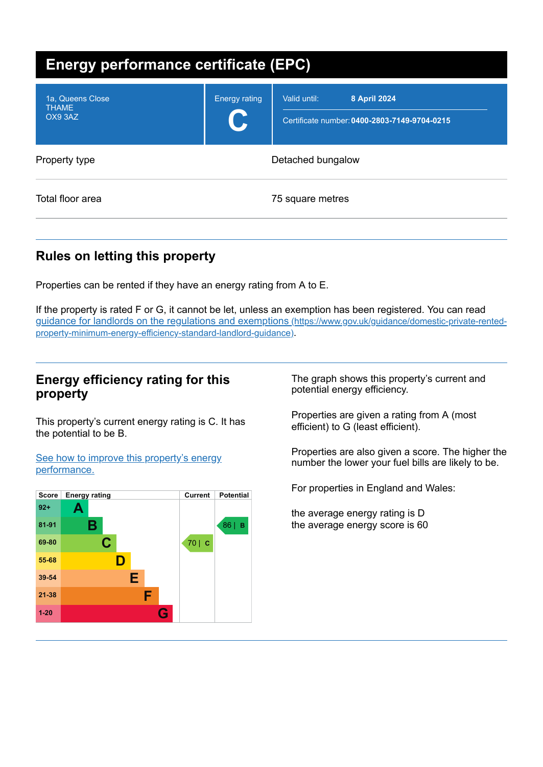| <b>Energy performance certificate (EPC)</b> |                           |                                                                              |  |
|---------------------------------------------|---------------------------|------------------------------------------------------------------------------|--|
| 1a, Queens Close<br><b>THAME</b><br>OX9 3AZ | <b>Energy rating</b><br>C | 8 April 2024<br>Valid until:<br>Certificate number: 0400-2803-7149-9704-0215 |  |
| Property type                               | Detached bungalow         |                                                                              |  |
| Total floor area                            | 75 square metres          |                                                                              |  |

# **Rules on letting this property**

Properties can be rented if they have an energy rating from A to E.

If the property is rated F or G, it cannot be let, unless an exemption has been registered. You can read guidance for landlords on the regulations and exemptions (https://www.gov.uk/guidance/domestic-private-rented[property-minimum-energy-efficiency-standard-landlord-guidance\)](https://www.gov.uk/guidance/domestic-private-rented-property-minimum-energy-efficiency-standard-landlord-guidance).

## **Energy efficiency rating for this property**

This property's current energy rating is C. It has the potential to be B.

See how to improve this property's energy [performance.](#page-2-0)



The graph shows this property's current and potential energy efficiency.

Properties are given a rating from A (most efficient) to G (least efficient).

Properties are also given a score. The higher the number the lower your fuel bills are likely to be.

For properties in England and Wales:

the average energy rating is D the average energy score is 60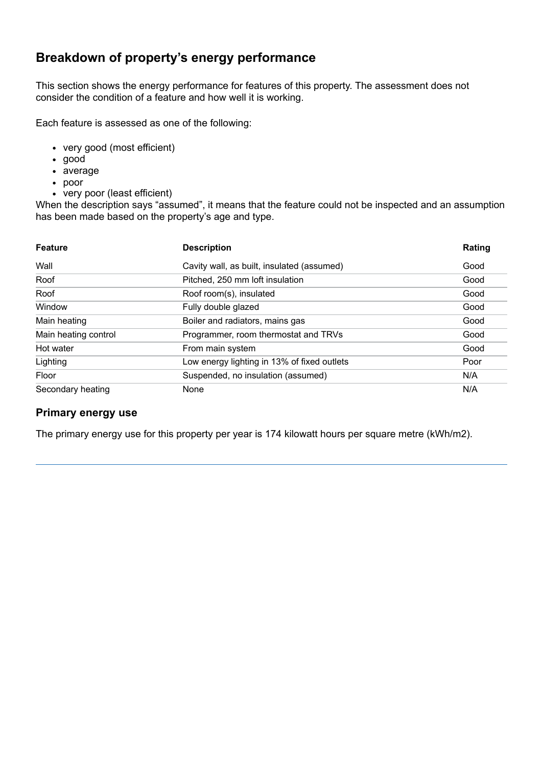# **Breakdown of property's energy performance**

This section shows the energy performance for features of this property. The assessment does not consider the condition of a feature and how well it is working.

Each feature is assessed as one of the following:

- very good (most efficient)
- good
- average
- poor
- very poor (least efficient)

When the description says "assumed", it means that the feature could not be inspected and an assumption has been made based on the property's age and type.

| <b>Feature</b>       | <b>Description</b>                          | Rating |
|----------------------|---------------------------------------------|--------|
| Wall                 | Cavity wall, as built, insulated (assumed)  | Good   |
| Roof                 | Pitched, 250 mm loft insulation             | Good   |
| Roof                 | Roof room(s), insulated                     | Good   |
| Window               | Fully double glazed                         | Good   |
| Main heating         | Boiler and radiators, mains gas             | Good   |
| Main heating control | Programmer, room thermostat and TRVs        | Good   |
| Hot water            | From main system                            | Good   |
| Lighting             | Low energy lighting in 13% of fixed outlets | Poor   |
| Floor                | Suspended, no insulation (assumed)          | N/A    |
| Secondary heating    | None                                        | N/A    |

#### **Primary energy use**

The primary energy use for this property per year is 174 kilowatt hours per square metre (kWh/m2).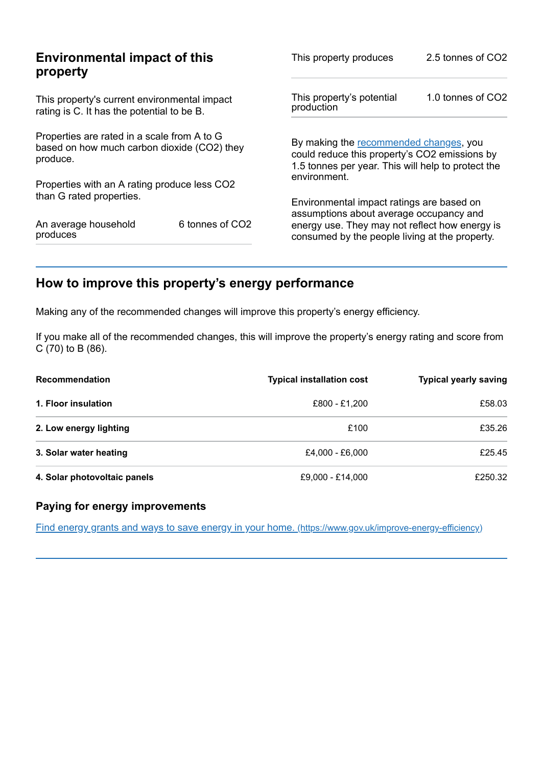|                                                                                                        | This property produces                                                                           | 2.5 tonnes of CO2                                                                                                                             |  |
|--------------------------------------------------------------------------------------------------------|--------------------------------------------------------------------------------------------------|-----------------------------------------------------------------------------------------------------------------------------------------------|--|
| This property's current environmental impact<br>rating is C. It has the potential to be B.             |                                                                                                  | 1.0 tonnes of CO2                                                                                                                             |  |
| Properties are rated in a scale from A to G<br>based on how much carbon dioxide (CO2) they<br>produce. |                                                                                                  | By making the recommended changes, you<br>could reduce this property's CO2 emissions by<br>1.5 tonnes per year. This will help to protect the |  |
|                                                                                                        |                                                                                                  |                                                                                                                                               |  |
|                                                                                                        | Environmental impact ratings are based on                                                        |                                                                                                                                               |  |
| 6 tonnes of CO <sub>2</sub>                                                                            | energy use. They may not reflect how energy is<br>consumed by the people living at the property. |                                                                                                                                               |  |
|                                                                                                        | <b>Environmental impact of this</b><br>Properties with an A rating produce less CO2              | This property's potential<br>production<br>environment.<br>assumptions about average occupancy and                                            |  |

# <span id="page-2-0"></span>**How to improve this property's energy performance**

Making any of the recommended changes will improve this property's energy efficiency.

If you make all of the recommended changes, this will improve the property's energy rating and score from  $C(70)$  to B (86).

| <b>Recommendation</b>        | <b>Typical installation cost</b> | <b>Typical yearly saving</b> |
|------------------------------|----------------------------------|------------------------------|
| 1. Floor insulation          | £800 - £1.200                    | £58.03                       |
| 2. Low energy lighting       | £100                             | £35.26                       |
| 3. Solar water heating       | £4.000 - £6.000                  | £25.45                       |
| 4. Solar photovoltaic panels | £9,000 - £14,000                 | £250.32                      |

### **Paying for energy improvements**

Find energy grants and ways to save energy in your home. [\(https://www.gov.uk/improve-energy-efficiency\)](https://www.gov.uk/improve-energy-efficiency)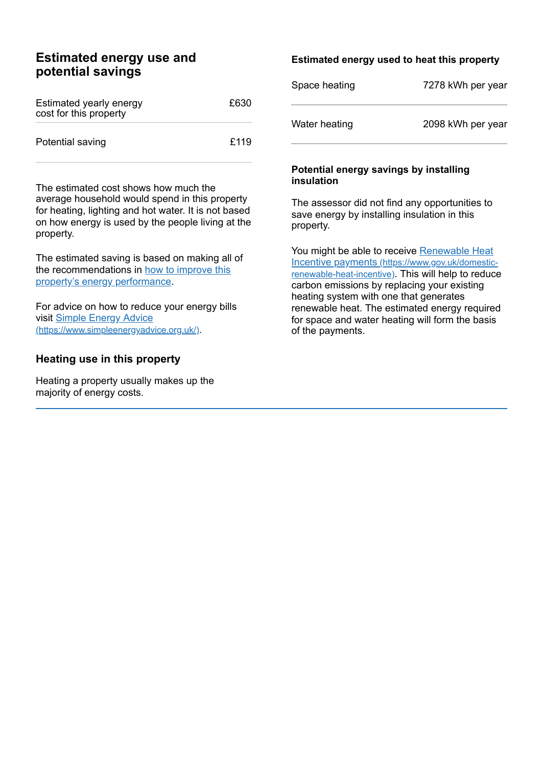## **Estimated energy use and potential savings**

| Estimated yearly energy<br>cost for this property | £630 |
|---------------------------------------------------|------|
| Potential saving                                  | £119 |

The estimated cost shows how much the average household would spend in this property for heating, lighting and hot water. It is not based on how energy is used by the people living at the property.

The estimated saving is based on making all of the [recommendations](#page-2-0) in how to improve this property's energy performance.

For advice on how to reduce your energy bills visit Simple Energy Advice [\(https://www.simpleenergyadvice.org.uk/\)](https://www.simpleenergyadvice.org.uk/).

#### **Heating use in this property**

Heating a property usually makes up the majority of energy costs.

#### **Estimated energy used to heat this property**

| Space heating | 7278 kWh per year |
|---------------|-------------------|
| Water heating | 2098 kWh per year |

#### **Potential energy savings by installing insulation**

The assessor did not find any opportunities to save energy by installing insulation in this property.

You might be able to receive Renewable Heat Incentive payments [\(https://www.gov.uk/domestic](https://www.gov.uk/domestic-renewable-heat-incentive)renewable-heat-incentive). This will help to reduce carbon emissions by replacing your existing heating system with one that generates renewable heat. The estimated energy required for space and water heating will form the basis of the payments.